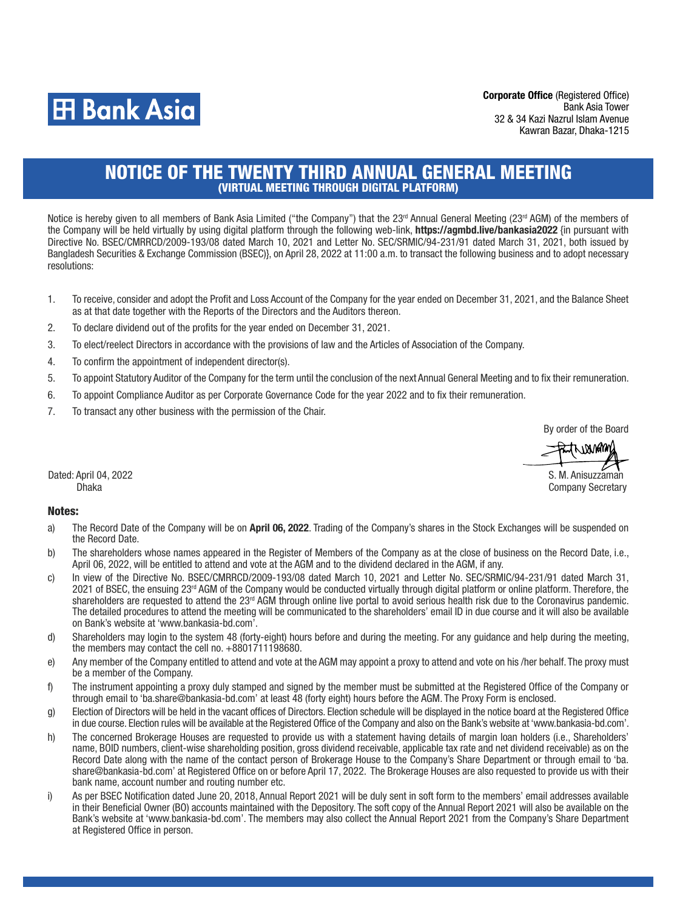

Corporate Office (Registered Office) Bank Asia Tower 32 & 34 Kazi Nazrul Islam Avenue Kawran Bazar, Dhaka-1215

## NOTICE OF THE TWENTY THIRD ANNUAL GENERAL MEETING (VIRTUAL MEETING THROUGH DIGITAL PLATFORM)

Notice is hereby given to all members of Bank Asia Limited ("the Company") that the  $23<sup>rd</sup>$  Annual General Meeting ( $23<sup>rd</sup>$  AGM) of the members of the Company will be held virtually by using digital platform through the following web-link, https://agmbd.live/bankasia2022 {in pursuant with Directive No. BSEC/CMRRCD/2009-193/08 dated March 10, 2021 and Letter No. SEC/SRMIC/94-231/91 dated March 31, 2021, both issued by Bangladesh Securities & Exchange Commission (BSEC)}, on April 28, 2022 at 11:00 a.m. to transact the following business and to adopt necessary resolutions:

- 1. To receive, consider and adopt the Profit and Loss Account of the Company for the year ended on December 31, 2021, and the Balance Sheet as at that date together with the Reports of the Directors and the Auditors thereon.
- 2. To declare dividend out of the profits for the year ended on December 31, 2021.
- 3. To elect/reelect Directors in accordance with the provisions of law and the Articles of Association of the Company.
- 4. To confirm the appointment of independent director(s).
- 5. To appoint Statutory Auditor of the Company for the term until the conclusion of the next Annual General Meeting and to fix their remuneration.
- 6. To appoint Compliance Auditor as per Corporate Governance Code for the year 2022 and to fix their remuneration.
- 7. To transact any other business with the permission of the Chair.

By order of the Board

twanam S. M. Anisuzzaman

Company Secretary

Dated: April 04, 2022 Dhaka

## Notes:

- a) The Record Date of the Company will be on April 06, 2022. Trading of the Company's shares in the Stock Exchanges will be suspended on the Record Date.
- b) The shareholders whose names appeared in the Register of Members of the Company as at the close of business on the Record Date, i.e., April 06, 2022, will be entitled to attend and vote at the AGM and to the dividend declared in the AGM, if any.
- c) In view of the Directive No. BSEC/CMRRCD/2009-193/08 dated March 10, 2021 and Letter No. SEC/SRMIC/94-231/91 dated March 31, 2021 of BSEC, the ensuing 23rd AGM of the Company would be conducted virtually through digital platform or online platform. Therefore, the shareholders are requested to attend the 23<sup>rd</sup> AGM through online live portal to avoid serious health risk due to the Coronavirus pandemic. The detailed procedures to attend the meeting will be communicated to the shareholders' email ID in due course and it will also be available on Bank's website at 'www.bankasia-bd.com'.
- d) Shareholders may login to the system 48 (forty-eight) hours before and during the meeting. For any guidance and help during the meeting, the members may contact the cell no. +8801711198680.
- e) Any member of the Company entitled to attend and vote at the AGM may appoint a proxy to attend and vote on his /her behalf. The proxy must be a member of the Company.
- f) The instrument appointing a proxy duly stamped and signed by the member must be submitted at the Registered Office of the Company or through email to 'ba.share@bankasia-bd.com' at least 48 (forty eight) hours before the AGM. The Proxy Form is enclosed.
- g) Election of Directors will be held in the vacant offices of Directors. Election schedule will be displayed in the notice board at the Registered Office in due course. Election rules will be available at the Registered Office of the Company and also on the Bank's website at 'www.bankasia-bd.com'.
- h) The concerned Brokerage Houses are requested to provide us with a statement having details of margin loan holders (i.e., Shareholders' name, BOID numbers, client-wise shareholding position, gross dividend receivable, applicable tax rate and net dividend receivable) as on the Record Date along with the name of the contact person of Brokerage House to the Company's Share Department or through email to 'ba. share@bankasia-bd.com' at Registered Office on or before April 17, 2022. The Brokerage Houses are also requested to provide us with their bank name, account number and routing number etc.
- i) As per BSEC Notification dated June 20, 2018, Annual Report 2021 will be duly sent in soft form to the members' email addresses available in their Beneficial Owner (BO) accounts maintained with the Depository. The soft copy of the Annual Report 2021 will also be available on the Bank's website at 'www.bankasia-bd.com'. The members may also collect the Annual Report 2021 from the Company's Share Department at Registered Office in person.